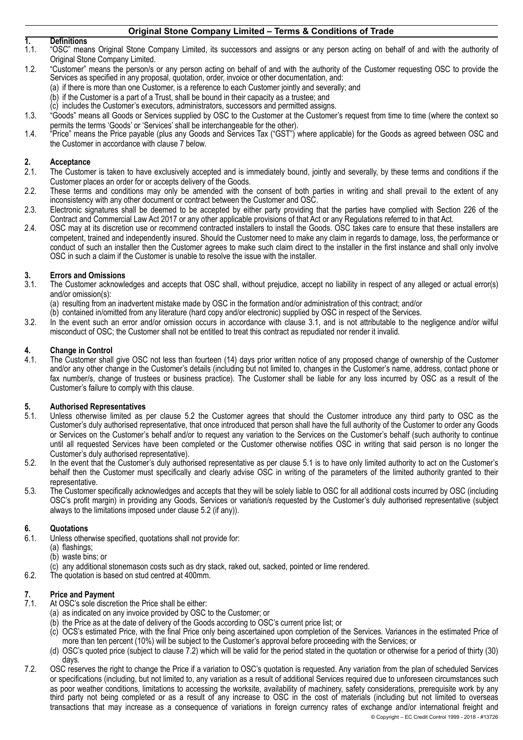# **1. Definitions**

- 1.1. "OSC" means Original Stone Company Limited, its successors and assigns or any person acting on behalf of and with the authority of Original Stone Company Limited.
- 1.2. "Customer" means the person/s or any person acting on behalf of and with the authority of the Customer requesting OSC to provide the Services as specified in any proposal, quotation, order, invoice or other documentation, and:
	- (a) if there is more than one Customer, is a reference to each Customer jointly and severally; and
		- (b) if the Customer is a part of a Trust, shall be bound in their capacity as a trustee; and
		- (c) includes the Customer's executors, administrators, successors and permitted assigns.
- 1.3. "Goods" means all Goods or Services supplied by OSC to the Customer at the Customer's request from time to time (where the context so permits the terms 'Goods' or 'Services' shall be interchangeable for the other).
- 1.4. "Price" means the Price payable (plus any Goods and Services Tax ("GST") where applicable) for the Goods as agreed between OSC and the Customer in accordance with clause [7](#page-0-0) below.

# **2. Acceptance**

- The Customer is taken to have exclusively accepted and is immediately bound, jointly and severally, by these terms and conditions if the Customer places an order for or accepts delivery of the Goods.
- 2.2. These terms and conditions may only be amended with the consent of both parties in writing and shall prevail to the extent of any inconsistency with any other document or contract between the Customer and OSC.
- 2.3. Electronic signatures shall be deemed to be accepted by either party providing that the parties have complied with Section 226 of the Contract and Commercial Law Act 2017 or any other applicable provisions of that Act or any Regulations referred to in that Act.
- 2.4. OSC may at its discretion use or recommend contracted installers to install the Goods. OSC takes care to ensure that these installers are competent, trained and independently insured. Should the Customer need to make any claim in regards to damage, loss, the performance or conduct of such an installer then the Customer agrees to make such claim direct to the installer in the first instance and shall only involve OSC in such a claim if the Customer is unable to resolve the issue with the installer.

# **3. Errors and Omissions**

- <span id="page-0-1"></span>3.1. The Customer acknowledges and accepts that OSC shall, without prejudice, accept no liability in respect of any alleged or actual error(s) and/or omission(s):
	- (a) resulting from an inadvertent mistake made by OSC in the formation and/or administration of this contract; and/or
- (b) contained in/omitted from any literature (hard copy and/or electronic) supplied by OSC in respect of the Services.
- 3.2. In the event such an error and/or omission occurs in accordance with clause [3.1](#page-0-1), and is not attributable to the negligence and/or wilful misconduct of OSC; the Customer shall not be entitled to treat this contract as repudiated nor render it invalid.

#### **4. Change in Control**

4.1. The Customer shall give OSC not less than fourteen (14) days prior written notice of any proposed change of ownership of the Customer and/or any other change in the Customer's details (including but not limited to, changes in the Customer's name, address, contact phone or fax number/s, change of trustees or business practice). The Customer shall be liable for any loss incurred by OSC as a result of the Customer's failure to comply with this clause.

# **5. Authorised Representatives**

- <span id="page-0-3"></span>Unless otherwise limited as per clause [5.2](#page-0-2) the Customer agrees that should the Customer introduce any third party to OSC as the Customer's duly authorised representative, that once introduced that person shall have the full authority of the Customer to order any Goods or Services on the Customer's behalf and/or to request any variation to the Services on the Customer's behalf (such authority to continue until all requested Services have been completed or the Customer otherwise notifies OSC in writing that said person is no longer the Customer's duly authorised representative).
- <span id="page-0-2"></span>5.2. In the event that the Customer's duly authorised representative as per clause [5.1](#page-0-3) is to have only limited authority to act on the Customer's behalf then the Customer must specifically and clearly advise OSC in writing of the parameters of the limited authority granted to their representative.
- 5.3. The Customer specifically acknowledges and accepts that they will be solely liable to OSC for all additional costs incurred by OSC (including OSC's profit margin) in providing any Goods, Services or variation/s requested by the Customer's duly authorised representative (subject always to the limitations imposed under clause [5.2](#page-0-2) (if any)).

### **6. Quotations**

- 6.1. Unless otherwise specified, quotations shall not provide for:
- (a) flashings;
	- (b) waste bins; or
	- (c) any additional stonemason costs such as dry stack, raked out, sacked, pointed or lime rendered.
- 6.2. The quotation is based on stud centred at 400mm.

# **7. Price and Payment**

- <span id="page-0-0"></span>At OSC's sole discretion the Price shall be either:
	- (a) as indicated on any invoice provided by OSC to the Customer; or
	- (b) the Price as at the date of delivery of the Goods according to OSC's current price list; or
	- (c) OCS's estimated Price, with the final Price only being ascertained upon completion of the Services. Variances in the estimated Price of more than ten percent (10%) will be subject to the Customer's approval before proceeding with the Services; or
	- (d) OSC's quoted price (subject to clause [7.2\)](#page-0-4) which will be valid for the period stated in the quotation or otherwise for a period of thirty (30) days.
- <span id="page-0-4"></span>7.2. OSC reserves the right to change the Price if a variation to OSC's quotation is requested. Any variation from the plan of scheduled Services or specifications (including, but not limited to, any variation as a result of additional Services required due to unforeseen circumstances such as poor weather conditions, limitations to accessing the worksite, availability of machinery, safety considerations, prerequisite work by any third party not being completed or as a result of any increase to OSC in the cost of materials (including but not limited to overseas transactions that may increase as a consequence of variations in foreign currency rates of exchange and/or international freight and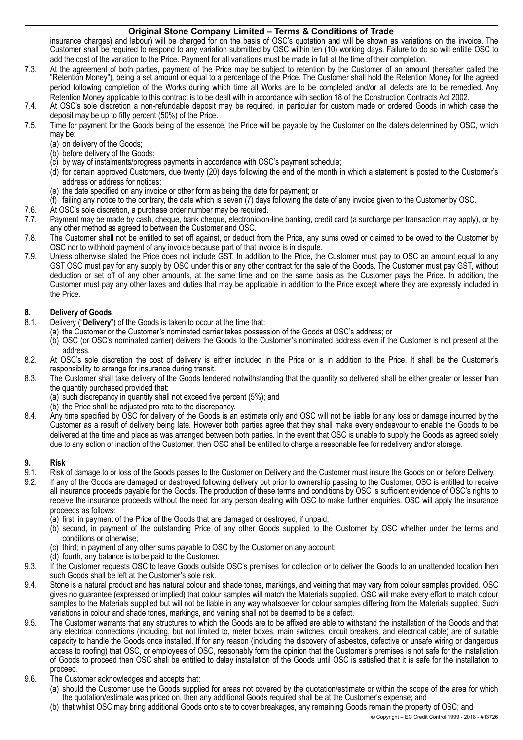insurance charges) and labour) will be charged for on the basis of OSC's quotation and will be shown as variations on the invoice. The Customer shall be required to respond to any variation submitted by OSC within ten (10) working days. Failure to do so will entitle OSC to add the cost of the variation to the Price. Payment for all variations must be made in full at the time of their completion.

- 7.3. At the agreement of both parties, payment of the Price may be subject to retention by the Customer of an amount (hereafter called the "Retention Money"), being a set amount or equal to a percentage of the Price. The Customer shall hold the Retention Money for the agreed period following completion of the Works during which time all Works are to be completed and/or all defects are to be remedied. Any Retention Money applicable to this contract is to be dealt with in accordance with section 18 of the Construction Contracts Act 2002.
- 7.4. At OSC's sole discretion a non-refundable deposit may be required, in particular for custom made or ordered Goods in which case the deposit may be up to fifty percent (50%) of the Price.
- 7.5. Time for payment for the Goods being of the essence, the Price will be payable by the Customer on the date/s determined by OSC, which may be:
	- (a) on delivery of the Goods;
	- (b) before delivery of the Goods;
	- (c) by way of instalments/progress payments in accordance with OSC's payment schedule;
	- (d) for certain approved Customers, due twenty (20) days following the end of the month in which a statement is posted to the Customer's address or address for notices;
	- (e) the date specified on any invoice or other form as being the date for payment; or<br>(f) failing any notice to the contrary, the date which is seven (7) days following the d
	- failing any notice to the contrary, the date which is seven (7) days following the date of any invoice given to the Customer by OSC.
- 7.6. At OSC's sole discretion, a purchase order number may be required.
- 7.7. Payment may be made by cash, cheque, bank cheque, electronic/on-line banking, credit card (a surcharge per transaction may apply), or by any other method as agreed to between the Customer and OSC.
- 7.8. The Customer shall not be entitled to set off against, or deduct from the Price, any sums owed or claimed to be owed to the Customer by OSC nor to withhold payment of any invoice because part of that invoice is in dispute.
- 7.9. Unless otherwise stated the Price does not include GST. In addition to the Price, the Customer must pay to OSC an amount equal to any GST OSC must pay for any supply by OSC under this or any other contract for the sale of the Goods. The Customer must pay GST, without deduction or set off of any other amounts, at the same time and on the same basis as the Customer pays the Price. In addition, the Customer must pay any other taxes and duties that may be applicable in addition to the Price except where they are expressly included in the Price.

# **8. Delivery of Goods**

- 8.1. Delivery ("**Delivery**") of the Goods is taken to occur at the time that:
	- (a) the Customer or the Customer's nominated carrier takes possession of the Goods at OSC's address; or
		- (b) OSC (or OSC's nominated carrier) delivers the Goods to the Customer's nominated address even if the Customer is not present at the address.
- 8.2. At OSC's sole discretion the cost of delivery is either included in the Price or is in addition to the Price. It shall be the Customer's responsibility to arrange for insurance during transit.
- 8.3. The Customer shall take delivery of the Goods tendered notwithstanding that the quantity so delivered shall be either greater or lesser than the quantity purchased provided that:
	- (a) such discrepancy in quantity shall not exceed five percent (5%); and
	- (b) the Price shall be adjusted pro rata to the discrepancy.
- 8.4. Any time specified by OSC for delivery of the Goods is an estimate only and OSC will not be liable for any loss or damage incurred by the Customer as a result of delivery being late. However both parties agree that they shall make every endeavour to enable the Goods to be delivered at the time and place as was arranged between both parties. In the event that OSC is unable to supply the Goods as agreed solely due to any action or inaction of the Customer, then OSC shall be entitled to charge a reasonable fee for redelivery and/or storage.

### **9. Risk**

- 9.1. Risk of damage to or loss of the Goods passes to the Customer on Delivery and the Customer must insure the Goods on or before Delivery.<br>9.2. If any of the Goods are damaged or destroved following delivery but prior to
- If any of the Goods are damaged or destroyed following delivery but prior to ownership passing to the Customer, OSC is entitled to receive all insurance proceeds payable for the Goods. The production of these terms and conditions by OSC is sufficient evidence of OSC's rights to receive the insurance proceeds without the need for any person dealing with OSC to make further enquiries. OSC will apply the insurance proceeds as follows:
	- (a) first, in payment of the Price of the Goods that are damaged or destroyed, if unpaid;
	- (b) second, in payment of the outstanding Price of any other Goods supplied to the Customer by OSC whether under the terms and conditions or otherwise;
	- (c) third; in payment of any other sums payable to OSC by the Customer on any account;
	- (d) fourth, any balance is to be paid to the Customer.
- 9.3. If the Customer requests OSC to leave Goods outside OSC's premises for collection or to deliver the Goods to an unattended location then such Goods shall be left at the Customer's sole risk.
- 9.4. Stone is a natural product and has natural colour and shade tones, markings, and veining that may vary from colour samples provided. OSC gives no guarantee (expressed or implied) that colour samples will match the Materials supplied. OSC will make every effort to match colour samples to the Materials supplied but will not be liable in any way whatsoever for colour samples differing from the Materials supplied. Such variations in colour and shade tones, markings, and veining shall not be deemed to be a defect.
- 9.5. The Customer warrants that any structures to which the Goods are to be affixed are able to withstand the installation of the Goods and that any electrical connections (including, but not limited to, meter boxes, main switches, circuit breakers, and electrical cable) are of suitable capacity to handle the Goods once installed. If for any reason (including the discovery of asbestos, defective or unsafe wiring or dangerous access to roofing) that OSC, or employees of OSC, reasonably form the opinion that the Customer's premises is not safe for the installation of Goods to proceed then OSC shall be entitled to delay installation of the Goods until OSC is satisfied that it is safe for the installation to proceed.
- <span id="page-1-0"></span>9.6. The Customer acknowledges and accepts that:
	- (a) should the Customer use the Goods supplied for areas not covered by the quotation/estimate or within the scope of the area for which the quotation/estimate was priced on, then any additional Goods required shall be at the Customer's expense; and
	- (b) that whilst OSC may bring additional Goods onto site to cover breakages, any remaining Goods remain the property of OSC; and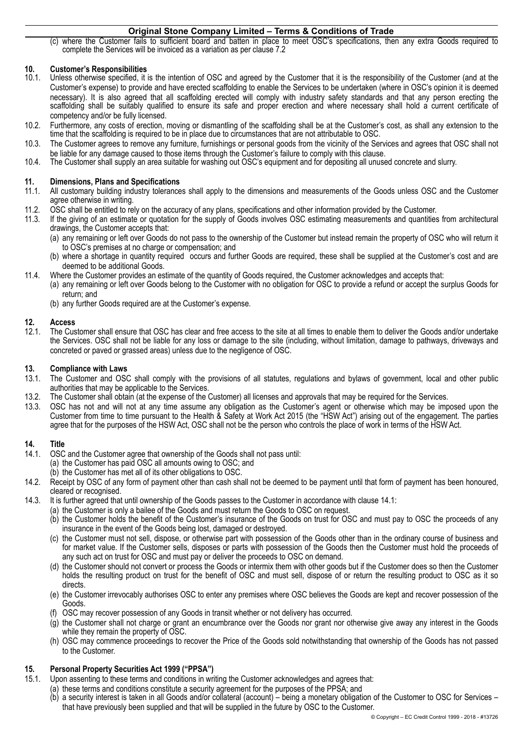(c) where the Customer fails to sufficient board and batten in place to meet OSC's specifications, then any extra Goods required to complete the Services will be invoiced as a variation as per clause [7.2](#page-1-0) 

#### **10. Customer's Responsibilities**

- 10.1. Unless otherwise specified, it is the intention of OSC and agreed by the Customer that it is the responsibility of the Customer (and at the Customer's expense) to provide and have erected scaffolding to enable the Services to be undertaken (where in OSC's opinion it is deemed necessary). It is also agreed that all scaffolding erected will comply with industry safety standards and that any person erecting the scaffolding shall be suitably qualified to ensure its safe and proper erection and where necessary shall hold a current certificate of competency and/or be fully licensed.
- 10.2. Furthermore, any costs of erection, moving or dismantling of the scaffolding shall be at the Customer's cost, as shall any extension to the time that the scaffolding is required to be in place due to circumstances that are not attributable to OSC.
- 10.3. The Customer agrees to remove any furniture, furnishings or personal goods from the vicinity of the Services and agrees that OSC shall not be liable for any damage caused to those items through the Customer's failure to comply with this clause.
- 10.4. The Customer shall supply an area suitable for washing out OSC's equipment and for depositing all unused concrete and slurry.

#### **11. Dimensions, Plans and Specifications**

- 11.1. All customary building industry tolerances shall apply to the dimensions and measurements of the Goods unless OSC and the Customer agree otherwise in writing.
- 11.2. OSC shall be entitled to rely on the accuracy of any plans, specifications and other information provided by the Customer.
- 11.3. If the giving of an estimate or quotation for the supply of Goods involves OSC estimating measurements and quantities from architectural drawings, the Customer accepts that:
	- (a) any remaining or left over Goods do not pass to the ownership of the Customer but instead remain the property of OSC who will return it to OSC's premises at no charge or compensation; and
	- (b) where a shortage in quantity required occurs and further Goods are required, these shall be supplied at the Customer's cost and are deemed to be additional Goods.
- 11.4. Where the Customer provides an estimate of the quantity of Goods required, the Customer acknowledges and accepts that:
	- (a) any remaining or left over Goods belong to the Customer with no obligation for OSC to provide a refund or accept the surplus Goods for return; and
		- (b) any further Goods required are at the Customer's expense.

#### **12. Access**

12.1. The Customer shall ensure that OSC has clear and free access to the site at all times to enable them to deliver the Goods and/or undertake the Services. OSC shall not be liable for any loss or damage to the site (including, without limitation, damage to pathways, driveways and concreted or paved or grassed areas) unless due to the negligence of OSC.

#### **13. Compliance with Laws**

- 13.1. The Customer and OSC shall comply with the provisions of all statutes, regulations and bylaws of government, local and other public authorities that may be applicable to the Services.
- 13.2. The Customer shall obtain (at the expense of the Customer) all licenses and approvals that may be required for the Services.
- 13.3. OSC has not and will not at any time assume any obligation as the Customer's agent or otherwise which may be imposed upon the Customer from time to time pursuant to the Health & Safety at Work Act 2015 (the "HSW Act") arising out of the engagement. The parties agree that for the purposes of the HSW Act, OSC shall not be the person who controls the place of work in terms of the HSW Act.

#### **14. Title**

- <span id="page-2-0"></span>14.1. OSC and the Customer agree that ownership of the Goods shall not pass until:
	- (a) the Customer has paid OSC all amounts owing to OSC; and
	- (b) the Customer has met all of its other obligations to OSC.
- 14.2. Receipt by OSC of any form of payment other than cash shall not be deemed to be payment until that form of payment has been honoured, cleared or recognised.
- 14.3. It is further agreed that until ownership of the Goods passes to the Customer in accordance with clause [14.1](#page-2-0):
	- (a) the Customer is only a bailee of the Goods and must return the Goods to OSC on request.
		- (b) the Customer holds the benefit of the Customer's insurance of the Goods on trust for OSC and must pay to OSC the proceeds of any insurance in the event of the Goods being lost, damaged or destroyed.
	- (c) the Customer must not sell, dispose, or otherwise part with possession of the Goods other than in the ordinary course of business and for market value. If the Customer sells, disposes or parts with possession of the Goods then the Customer must hold the proceeds of any such act on trust for OSC and must pay or deliver the proceeds to OSC on demand.
	- (d) the Customer should not convert or process the Goods or intermix them with other goods but if the Customer does so then the Customer holds the resulting product on trust for the benefit of OSC and must sell, dispose of or return the resulting product to OSC as it so directs.
	- (e) the Customer irrevocably authorises OSC to enter any premises where OSC believes the Goods are kept and recover possession of the Goods.
	- (f) OSC may recover possession of any Goods in transit whether or not delivery has occurred.
	- (g) the Customer shall not charge or grant an encumbrance over the Goods nor grant nor otherwise give away any interest in the Goods while they remain the property of OSC.
	- (h) OSC may commence proceedings to recover the Price of the Goods sold notwithstanding that ownership of the Goods has not passed to the Customer.

#### **15. Personal Property Securities Act 1999 ("PPSA")**

- <span id="page-2-1"></span>15.1. Upon assenting to these terms and conditions in writing the Customer acknowledges and agrees that:
	- (a) these terms and conditions constitute a security agreement for the purposes of the PPSA; and
	- (b) a security interest is taken in all Goods and/or collateral (account) being a monetary obligation of the Customer to OSC for Services that have previously been supplied and that will be supplied in the future by OSC to the Customer.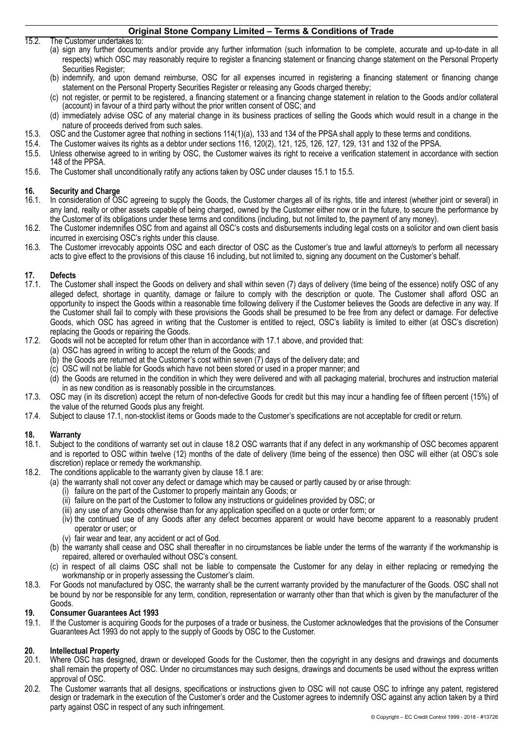15.2. The Customer undertakes to:

- (a) sign any further documents and/or provide any further information (such information to be complete, accurate and up-to-date in all respects) which OSC may reasonably require to register a financing statement or financing change statement on the Personal Property Securities Register;
- (b) indemnify, and upon demand reimburse, OSC for all expenses incurred in registering a financing statement or financing change statement on the Personal Property Securities Register or releasing any Goods charged thereby;
- (c) not register, or permit to be registered, a financing statement or a financing change statement in relation to the Goods and/or collateral (account) in favour of a third party without the prior written consent of OSC; and
- (d) immediately advise OSC of any material change in its business practices of selling the Goods which would result in a change in the nature of proceeds derived from such sales.
- 15.3. OSC and the Customer agree that nothing in sections 114(1)(a), 133 and 134 of the PPSA shall apply to these terms and conditions.
- 15.4. The Customer waives its rights as a debtor under sections 116, 120(2), 121, 125, 126, 127, 129, 131 and 132 of the PPSA.
- <span id="page-3-0"></span>15.5. Unless otherwise agreed to in writing by OSC, the Customer waives its right to receive a verification statement in accordance with section 148 of the PPSA.
- 15.6. The Customer shall unconditionally ratify any actions taken by OSC under clauses [15.1](#page-2-1) to [15.5](#page-3-0).

# <span id="page-3-1"></span>**16. Security and Charge**

- In consideration of OSC agreeing to supply the Goods, the Customer charges all of its rights, title and interest (whether joint or several) in any land, realty or other assets capable of being charged, owned by the Customer either now or in the future, to secure the performance by the Customer of its obligations under these terms and conditions (including, but not limited to, the payment of any money).
- 16.2. The Customer indemnifies OSC from and against all OSC's costs and disbursements including legal costs on a solicitor and own client basis incurred in exercising OSC's rights under this clause.
- 16.3. The Customer irrevocably appoints OSC and each director of OSC as the Customer's true and lawful attorney/s to perform all necessary acts to give effect to the provisions of this clause [16](#page-3-1) including, but not limited to, signing any document on the Customer's behalf.

# **17. Defects**

- <span id="page-3-2"></span>The Customer shall inspect the Goods on delivery and shall within seven (7) days of delivery (time being of the essence) notify OSC of any alleged defect, shortage in quantity, damage or failure to comply with the description or quote. The Customer shall afford OSC an opportunity to inspect the Goods within a reasonable time following delivery if the Customer believes the Goods are defective in any way. If the Customer shall fail to comply with these provisions the Goods shall be presumed to be free from any defect or damage. For defective Goods, which OSC has agreed in writing that the Customer is entitled to reject, OSC's liability is limited to either (at OSC's discretion) replacing the Goods or repairing the Goods.
- 17.2. Goods will not be accepted for return other than in accordance with [17.1](#page-3-2) above, and provided that:
	- (a) OSC has agreed in writing to accept the return of the Goods; and
	- (b) the Goods are returned at the Customer's cost within seven (7) days of the delivery date; and
	- (c) OSC will not be liable for Goods which have not been stored or used in a proper manner; and
	- (d) the Goods are returned in the condition in which they were delivered and with all packaging material, brochures and instruction material in as new condition as is reasonably possible in the circumstances.
- 17.3. OSC may (in its discretion) accept the return of non-defective Goods for credit but this may incur a handling fee of fifteen percent (15%) of the value of the returned Goods plus any freight.
- 17.4. Subject to clause [17.1](#page-3-2), non-stocklist items or Goods made to the Customer's specifications are not acceptable for credit or return.

#### **18. Warranty**

- <span id="page-3-4"></span>18.1. Subject to the conditions of warranty set out in clause [18.2](#page-3-3) OSC warrants that if any defect in any workmanship of OSC becomes apparent and is reported to OSC within twelve (12) months of the date of delivery (time being of the essence) then OSC will either (at OSC's sole discretion) replace or remedy the workmanship.
- <span id="page-3-3"></span>18.2. The conditions applicable to the warranty given by clause [18.1](#page-3-4) are:
	- (a) the warranty shall not cover any defect or damage which may be caused or partly caused by or arise through:
		- (i) failure on the part of the Customer to properly maintain any Goods; or
		- (ii) failure on the part of the Customer to follow any instructions or guidelines provided by OSC; or
		- (iii) any use of any Goods otherwise than for any application specified on a quote or order form; or
		- (iv) the continued use of any Goods after any defect becomes apparent or would have become apparent to a reasonably prudent operator or user; or
		- (v) fair wear and tear, any accident or act of God.
	- (b) the warranty shall cease and OSC shall thereafter in no circumstances be liable under the terms of the warranty if the workmanship is repaired, altered or overhauled without OSC's consent.
	- (c) in respect of all claims OSC shall not be liable to compensate the Customer for any delay in either replacing or remedying the workmanship or in properly assessing the Customer's claim.
- 18.3. For Goods not manufactured by OSC, the warranty shall be the current warranty provided by the manufacturer of the Goods. OSC shall not be bound by nor be responsible for any term, condition, representation or warranty other than that which is given by the manufacturer of the Goods.

#### **19. Consumer Guarantees Act 1993**

19.1. If the Customer is acquiring Goods for the purposes of a trade or business, the Customer acknowledges that the provisions of the Consumer Guarantees Act 1993 do not apply to the supply of Goods by OSC to the Customer.

# **20. Intellectual Property**

- 20.1. Where OSC has designed, drawn or developed Goods for the Customer, then the copyright in any designs and drawings and documents shall remain the property of OSC. Under no circumstances may such designs, drawings and documents be used without the express written approval of OSC.
- 20.2. The Customer warrants that all designs, specifications or instructions given to OSC will not cause OSC to infringe any patent, registered design or trademark in the execution of the Customer's order and the Customer agrees to indemnify OSC against any action taken by a third party against OSC in respect of any such infringement.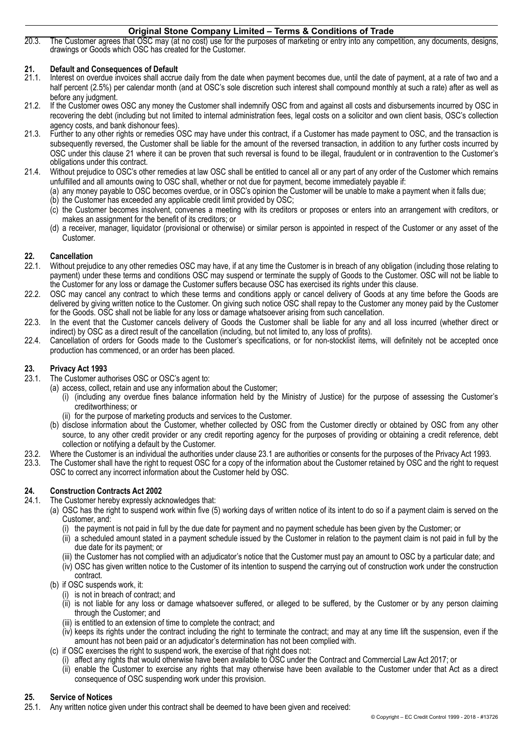20.3. The Customer agrees that OSC may (at no cost) use for the purposes of marketing or entry into any competition, any documents, designs, drawings or Goods which OSC has created for the Customer.

### <span id="page-4-0"></span>**21. Default and Consequences of Default**

- 21.1. Interest on overdue invoices shall accrue daily from the date when payment becomes due, until the date of payment, at a rate of two and a half percent (2.5%) per calendar month (and at OSC's sole discretion such interest shall compound monthly at such a rate) after as well as before any judgment.
- 21.2. If the Customer owes OSC any money the Customer shall indemnify OSC from and against all costs and disbursements incurred by OSC in recovering the debt (including but not limited to internal administration fees, legal costs on a solicitor and own client basis, OSC's collection agency costs, and bank dishonour fees).
- 21.3. Further to any other rights or remedies OSC may have under this contract, if a Customer has made payment to OSC, and the transaction is subsequently reversed, the Customer shall be liable for the amount of the reversed transaction, in addition to any further costs incurred by OSC under this clause [21](#page-4-0) where it can be proven that such reversal is found to be illegal, fraudulent or in contravention to the Customer's obligations under this contract.
- 21.4. Without prejudice to OSC's other remedies at law OSC shall be entitled to cancel all or any part of any order of the Customer which remains unfulfilled and all amounts owing to OSC shall, whether or not due for payment, become immediately payable if:
	- (a) any money payable to OSC becomes overdue, or in OSC's opinion the Customer will be unable to make a payment when it falls due;
	- (b) the Customer has exceeded any applicable credit limit provided by OSC;
	- (c) the Customer becomes insolvent, convenes a meeting with its creditors or proposes or enters into an arrangement with creditors, or makes an assignment for the benefit of its creditors; or
	- (d) a receiver, manager, liquidator (provisional or otherwise) or similar person is appointed in respect of the Customer or any asset of the Customer.

# **22. Cancellation**

- 22.1. Without prejudice to any other remedies OSC may have, if at any time the Customer is in breach of any obligation (including those relating to payment) under these terms and conditions OSC may suspend or terminate the supply of Goods to the Customer. OSC will not be liable to the Customer for any loss or damage the Customer suffers because OSC has exercised its rights under this clause.
- 22.2. OSC may cancel any contract to which these terms and conditions apply or cancel delivery of Goods at any time before the Goods are delivered by giving written notice to the Customer. On giving such notice OSC shall repay to the Customer any money paid by the Customer for the Goods. OSC shall not be liable for any loss or damage whatsoever arising from such cancellation.
- 22.3. In the event that the Customer cancels delivery of Goods the Customer shall be liable for any and all loss incurred (whether direct or indirect) by OSC as a direct result of the cancellation (including, but not limited to, any loss of profits).
- 22.4. Cancellation of orders for Goods made to the Customer's specifications, or for non-stocklist items, will definitely not be accepted once production has commenced, or an order has been placed.

#### **23. Privacy Act 1993**

- <span id="page-4-1"></span>23.1. The Customer authorises OSC or OSC's agent to:
	- (a) access, collect, retain and use any information about the Customer;
		- (i) (including any overdue fines balance information held by the Ministry of Justice) for the purpose of assessing the Customer's creditworthiness; or
		- (ii) for the purpose of marketing products and services to the Customer.
	- (b) disclose information about the Customer, whether collected by OSC from the Customer directly or obtained by OSC from any other source, to any other credit provider or any credit reporting agency for the purposes of providing or obtaining a credit reference, debt collection or notifying a default by the Customer.
- 23.2. Where the Customer is an individual the authorities under clause [23.1](#page-4-1) are authorities or consents for the purposes of the Privacy Act 1993.<br>23.3. The Customer shall have the right to reguest OSC for a copy of the inf
- 23.3. The Customer shall have the right to request OSC for a copy of the information about the Customer retained by OSC and the right to request OSC to correct any incorrect information about the Customer held by OSC.

### **24. Construction Contracts Act 2002**

- 24.1. The Customer hereby expressly acknowledges that:
	- (a) OSC has the right to suspend work within five (5) working days of written notice of its intent to do so if a payment claim is served on the Customer, and:
		- (i) the payment is not paid in full by the due date for payment and no payment schedule has been given by the Customer; or
		- (ii) a scheduled amount stated in a payment schedule issued by the Customer in relation to the payment claim is not paid in full by the due date for its payment; or
		- (iii) the Customer has not complied with an adjudicator's notice that the Customer must pay an amount to OSC by a particular date; and
		- (iv) OSC has given written notice to the Customer of its intention to suspend the carrying out of construction work under the construction contract.
	- (b) if OSC suspends work, it:
		- (i) is not in breach of contract; and
		- (ii) is not liable for any loss or damage whatsoever suffered, or alleged to be suffered, by the Customer or by any person claiming through the Customer; and
		- (iii) is entitled to an extension of time to complete the contract; and
		- (iv) keeps its rights under the contract including the right to terminate the contract; and may at any time lift the suspension, even if the amount has not been paid or an adjudicator's determination has not been complied with.
	- (c) if OSC exercises the right to suspend work, the exercise of that right does not:
		- (i) affect any rights that would otherwise have been available to OSC under the Contract and Commercial Law Act 2017; or
		- (ii) enable the Customer to exercise any rights that may otherwise have been available to the Customer under that Act as a direct consequence of OSC suspending work under this provision.

## **25. Service of Notices**

25.1. Any written notice given under this contract shall be deemed to have been given and received: